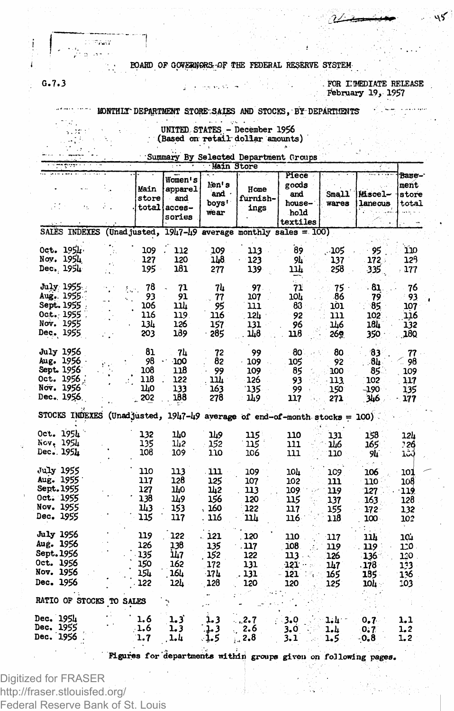## BOARD OF GOVERNORS OF THE FEDERAL RESERVE SYSTEM-

FOR INMEDIATE RELEASE February 19, 1957

كىء

## MONTHLY DEPARTMENT STORE SALES AND STOCKS, BY DEPARTMENTS

 $\mathcal{R}_{\text{DM}}$ 

 $G - 7 - 3$ 

UNITED STATES - December 1956 (Based on retail dollar amounts)

Summary By Selected Department Groups

|                                                                                    |                                                                |                                                       | main store                               |                                          |                                                     |                                                  |                                              |                                          |
|------------------------------------------------------------------------------------|----------------------------------------------------------------|-------------------------------------------------------|------------------------------------------|------------------------------------------|-----------------------------------------------------|--------------------------------------------------|----------------------------------------------|------------------------------------------|
| ÷.                                                                                 | Main<br>store                                                  | Women's<br>apparel<br>- and<br>total acces-<br>sories | lion's<br>and ·<br>boys'<br>wear         | Home<br>furnish-<br>ings                 | Piece<br>goods<br>and<br>house-<br>hold<br>textiles | Small<br>wares                                   | Miscel-<br>laneous                           | Вазе-<br>ment<br>store<br>total          |
| SALES INDEXES (Unadjusted, $1947 - 49$ average monthly sales = 100)                |                                                                |                                                       |                                          |                                          |                                                     |                                                  |                                              |                                          |
| Oct. 1954<br>Nov. 1954<br>Dec. 1954                                                | 109<br>127<br>195                                              | 112<br>120<br>181                                     | 109<br>118<br>277                        | 113<br>-123<br>139                       | 89<br>9h<br>11h                                     | .105<br>137<br>258                               | 95<br>172<br>335                             | 110<br>128<br>177                        |
| July 1955.<br>Aug. 1955<br>Sept. 1955<br>Oct. 1955<br>Nov. 1955<br>Dec. 1955       | 78<br>ξm.<br>93<br>106<br>116<br>134<br>203                    | 71<br>91<br>114<br>119.<br>126<br>189                 | 74<br>77<br>95<br>116<br>157<br>- 285    | 97.<br>107<br>111<br>12h<br>131<br>11.8  | 71<br>10L<br>83<br>92<br>96<br>118                  | $75 -$<br>86<br>101<br>111<br><b>146</b><br>269. | - 81<br>79<br>85<br>102<br>184<br>350        | 76<br>- 93<br>107<br>116<br>132<br>18Q   |
| July 1956<br>Aug. 1956<br>Sept. 1956<br>Oct. 1956<br>Nov. 1956<br>Dec., 1956.      | 81<br>98<br>108<br>118<br>140<br>202                           | -74<br>$-100$<br>118<br>122<br>133<br>188             | 72<br>82<br>99<br>ur.<br>163<br>278      | 99<br>$-109$<br>109<br>126<br>135<br>149 | - 80<br>105<br>85<br>93<br>99<br>117                | 80<br>92<br>100<br>113<br>150<br>271             | 83<br>-84<br>85.<br>102<br>$-190$<br>346     | 77<br>98<br>109<br>117<br>135<br>177     |
| STOCKS INDEXES                                                                     | (Unadjusted, $1947 - 49$ average of end-of-month stocks = 100) |                                                       |                                          |                                          |                                                     |                                                  |                                              |                                          |
| Oct. 1951<br>Nov. 1954<br>Dec. 1954                                                | 132<br>135<br>108                                              | IJo<br>142<br>109                                     | 149<br>152<br>110                        | 115<br>115<br>106                        | 110<br>111<br>111                                   | 131<br>146<br>110                                | 158<br>165<br>94                             | 12h<br>226<br>101                        |
| <b>July 1955</b><br>Aug. 1955<br>Sept. 1955<br>Oct. 1955<br>Nov. 1955<br>Dec. 1955 | 110<br>117<br>127<br>138<br>143<br>115                         | 113<br>128<br>140<br>149<br>153<br>117                | -111<br>125<br>142<br>156<br>160<br>116  | 109<br>107<br>113<br>120<br>122<br>ำป    | 104<br>102<br>109<br>115<br>117<br>116.             | 1C9<br>111<br>119<br>137<br>155<br>118           | 106<br>110<br>127<br>163.<br>172<br>100      | 101<br>108<br>-119<br>128<br>132<br>102  |
| <b>July 1956</b><br>Aug. 1956<br>Sept.1956<br>Oct. 1956<br>Nov. 1956<br>Dec. 1956  | 119<br>126<br>135<br>150<br>154<br>122                         | 122<br>138<br>ih7<br>162<br>16h<br>12h                | . 121<br>135<br>152<br>172<br>17h<br>128 | 120<br>. 117<br>122<br>131<br>131<br>120 | 110<br>108<br>113<br>121<br>121<br>120              | 117<br>119<br>126<br>147<br>165<br>125           | 11h<br>119<br>136<br>. 178<br>185 -<br>10h - | 10.1<br>120.<br>120<br>133<br>136<br>103 |
| RATIO OF STOCKS TO SALES                                                           |                                                                |                                                       |                                          |                                          |                                                     |                                                  |                                              |                                          |
| Dec. 1954<br><b>Dec. 1955</b><br><b>Dec. 1956</b>                                  | 1.6<br>$-1.6$<br>1.7                                           | 1.3<br>1.3<br>1.4                                     | 1.3<br>. 3<br>-1.5                       | 2.7<br>2.6<br>2,8                        | $-3.0$<br>3.0<br>3.1                                | 1.4 °<br>1.L<br>1.5                              | $0.7 -$<br>0.7<br>-0.8                       | 1,1<br>1.2<br>1, 2                       |
|                                                                                    |                                                                |                                                       |                                          |                                          |                                                     |                                                  |                                              |                                          |

Figures for departments within groups given on following pages.

Digitized for FRASER http://fraser.stlouisfed.org/ Federal Reserve Bank of St. Louis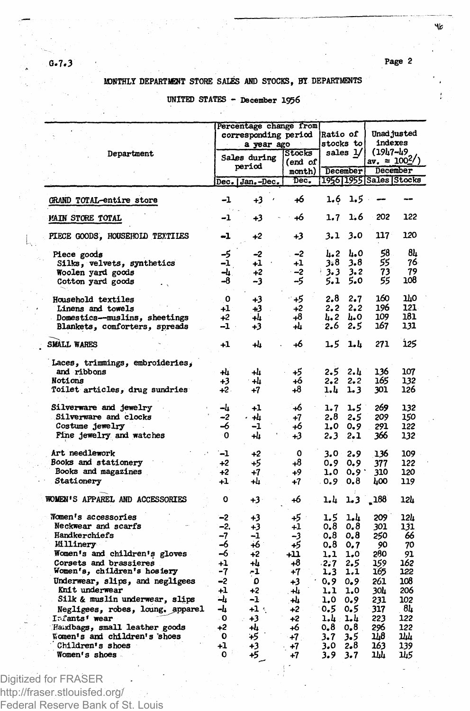٩b

# **MONTHLY DEPARTMENT STORE SALES AND STOCKS, BY DEPARTMENTS**

# **UNITED STATES - December 1956**

|                                                                                                                                                                                                                                                                                                                                                                                       |                                                                                                   | Percentage change from<br>corresponding period<br>a year ago                            |                                                                                                     | Ratio of<br>stocks to<br>sales 1/                                                                 |                                                                                                | Unad justed<br>indexes                                                                        |                                                                                           |  |
|---------------------------------------------------------------------------------------------------------------------------------------------------------------------------------------------------------------------------------------------------------------------------------------------------------------------------------------------------------------------------------------|---------------------------------------------------------------------------------------------------|-----------------------------------------------------------------------------------------|-----------------------------------------------------------------------------------------------------|---------------------------------------------------------------------------------------------------|------------------------------------------------------------------------------------------------|-----------------------------------------------------------------------------------------------|-------------------------------------------------------------------------------------------|--|
| Department                                                                                                                                                                                                                                                                                                                                                                            | Sales during                                                                                      |                                                                                         | Stocks<br>end of)                                                                                   |                                                                                                   |                                                                                                | (1947–49<br>av. = $100\frac{2}{3}$                                                            |                                                                                           |  |
|                                                                                                                                                                                                                                                                                                                                                                                       |                                                                                                   | period                                                                                  | month)                                                                                              |                                                                                                   | December                                                                                       | December                                                                                      |                                                                                           |  |
|                                                                                                                                                                                                                                                                                                                                                                                       |                                                                                                   | Dec.   Jan. –Dec.                                                                       | Dec.                                                                                                |                                                                                                   |                                                                                                | 1956 1955 Sales Stocks                                                                        |                                                                                           |  |
| GRAND TOTAL-entire store                                                                                                                                                                                                                                                                                                                                                              | -1                                                                                                | +3                                                                                      | +6                                                                                                  | 1.6                                                                                               | 1.5                                                                                            |                                                                                               |                                                                                           |  |
| <b>MAIN STORE TOTAL</b>                                                                                                                                                                                                                                                                                                                                                               | -1                                                                                                | +3                                                                                      | 46                                                                                                  | 1.7                                                                                               | 1.6                                                                                            | 202                                                                                           | 122                                                                                       |  |
| PIECE GOODS, HOUSEHOID TEXTILES                                                                                                                                                                                                                                                                                                                                                       | -1                                                                                                | +2                                                                                      | +3                                                                                                  | 3.1                                                                                               | 3.0                                                                                            | 117                                                                                           | 120                                                                                       |  |
| Piece goods<br>Silks, velvets, synthetics<br>Woolen yard goods<br>Cotton yard goods                                                                                                                                                                                                                                                                                                   | $\frac{-5}{-1}$<br>ᅯ<br>-8                                                                        | -2<br>+1<br>$+2$<br>-3                                                                  | -2<br>+1<br>$-2$<br>-5                                                                              | հ. 2<br>3.8<br>3.3<br>5.1                                                                         | L.O<br>3.8<br>3.2<br>5.0                                                                       | 58<br>55<br>73<br>55                                                                          | 84<br>76<br>79<br>108                                                                     |  |
| Household textiles<br>Linens and towels<br>Domestics--muslins, sheetings<br>Blankets, comforters, spreads                                                                                                                                                                                                                                                                             | $\mathbf{o}$<br>$^{+1}$<br>$+2$<br>-1                                                             | +3<br>+3<br>+4<br>+3                                                                    | - 45<br>+2<br>-8<br>+4                                                                              | 2.8<br>2.2<br>4.2<br>2.6                                                                          | 2.7<br>2.2<br>h.o<br>2.5                                                                       | 160<br>196<br>109<br>167                                                                      | mо<br>121<br>181<br>131                                                                   |  |
| <b>SMALL WARES</b>                                                                                                                                                                                                                                                                                                                                                                    | $+1$                                                                                              | +4                                                                                      | +6                                                                                                  | 1.5                                                                                               | 1.4                                                                                            | 271                                                                                           | 125                                                                                       |  |
| Laces, trimmings, embroideries,<br>and ribbons<br>Notions<br>Toilet articles, drug sundries                                                                                                                                                                                                                                                                                           | +4<br>+3<br>+2.                                                                                   | -4<br>+h<br>+7                                                                          | +5<br>+6<br>+8                                                                                      | 2.5<br>2.2<br>1.4                                                                                 | 2.և<br>2.2<br>1.3                                                                              | 136<br>165<br>301                                                                             | 107<br>132<br>126                                                                         |  |
| Silverware and jewelry<br>Silverware and clocks<br>Costume jewelry<br>Fine jewelry and watches                                                                                                                                                                                                                                                                                        | -և<br>-2<br>-6<br>O                                                                               | +1<br>ياھ -<br>-1<br>+h                                                                 | 46<br>+7<br>+6<br>43                                                                                | 1.7<br>2.8<br>1.0<br>2.3                                                                          | 1.5<br>2.5<br>0.9<br>2.1                                                                       | 269<br>209<br>291<br>366                                                                      | 132<br>150<br>122<br>132                                                                  |  |
| Art needlework<br>Books and stationery<br>Books and magazines<br>Stationery                                                                                                                                                                                                                                                                                                           | $-1$<br>$+2$<br>$+2$<br>+1                                                                        | $+2$<br>+5<br>+7<br>+h                                                                  | O<br>+8<br>+9<br>+7                                                                                 | 3.0<br>0.9<br>1.0<br>0.9                                                                          | 2.9<br>0.9<br>0.9<br>0.8                                                                       | 136<br>377<br>310<br>LOO                                                                      | 109<br>122<br>120<br>119                                                                  |  |
| WOMEN'S APPAREL AND ACCESSORIES                                                                                                                                                                                                                                                                                                                                                       | o                                                                                                 | +3                                                                                      | 46                                                                                                  | 1.4                                                                                               | 1.3                                                                                            | $-188$                                                                                        | 12h                                                                                       |  |
| Women's accessories<br>Neckwear and scarfs<br>Handkerchiefs<br><b>Milinery</b><br>Women's and children's gloves<br>Corsets and brassieres<br>Women's, children's hosiery<br>Underwear, slips, and negligees<br>Knit underwear<br>Silk & muslin underwear, slips<br>Negligees, robes, loung, apparel<br>Infants' wear<br>Handbags, small leather goods<br>Women's and children's shoes | -2<br>-2.<br>-7<br>-6<br>-6<br>+1<br>-7<br>-2<br>$\ddot{\phantom{1}}$<br>ـه<br>ᅪ<br>۰0<br>+2<br>0 | +3<br>+3<br>-1<br>+6<br>$+2$<br>+4<br>-1<br>٥<br>$+2$<br>-1<br>$+1$ :<br>+3<br>+4<br>45 | 45.1<br>$^{+1}$<br>-3<br>+5<br>411<br>+8<br>$+7$<br>+3<br>ىلە .<br>÷4<br>$+2$<br>$+2$<br>+6<br>: 7- | 1.5<br>0.8<br>0.8<br>0.8<br>1.1<br>$-2.7$<br>1,3<br>0.9<br>1.1<br>1,0<br>0.5<br>1.4<br>0.8<br>3.7 | 1.4<br>0.8<br>0.8<br>0.7<br>1.0<br>2.5<br>1.1<br>0.9<br>1.0<br>0.9<br>0.5<br>1.4<br>0.8<br>3.5 | 209<br>301<br>250<br>90<br>280<br>159<br>165<br>261<br>304<br>231<br>317<br>223<br>296<br>148 | 12h<br>131<br>66<br>70<br>91<br>162<br>122<br>108<br>206<br>102<br>84<br>122<br>122<br>ահ |  |
| Children's shoes<br>Women's shoes                                                                                                                                                                                                                                                                                                                                                     | +1<br>٥                                                                                           | +3<br>45                                                                                | +7<br>$+7$                                                                                          | 3.0<br>3.9                                                                                        | 2.8<br>3.7                                                                                     | 163<br>ıш                                                                                     | 139<br>145                                                                                |  |

Digitized for FRASER

**0.7\*3**

http://fraser.stlouisfed.org/ Federal Reserve Bank of St. Louis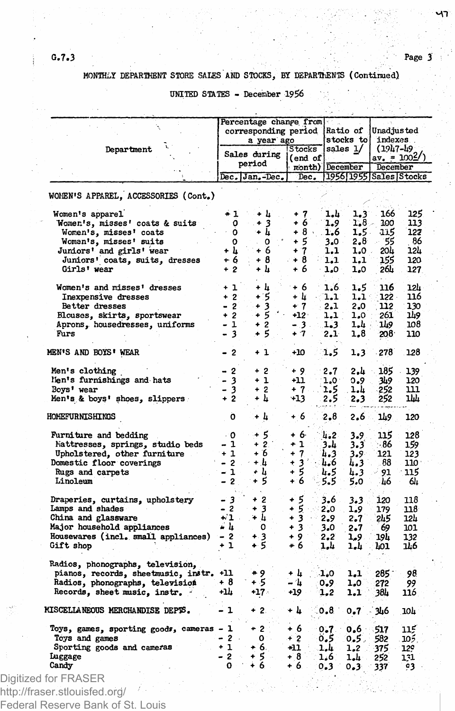**M T** 

# **MONTHLY DEPARTMENT STORE SALES AND STOCKS, BY DEPARTMENTS (Continued)**

**UNITED STATES - December 1956**

|         | Department                               |        | Percentage change from<br>corresponding period<br>a year ago |                   |               | Ratio of               | Unadjusted<br>stocks to indexes<br>$(1947 - 49)$ |      |  |
|---------|------------------------------------------|--------|--------------------------------------------------------------|-------------------|---------------|------------------------|--------------------------------------------------|------|--|
|         |                                          |        | Sales during                                                 | Stocks<br>(end of |               | sales 1/               | $\frac{\text{av}}{\text{av}} = 1002/$            |      |  |
|         |                                          |        | period                                                       | month)            |               | December               | December                                         |      |  |
|         |                                          |        | Dec. Jan.-Dec.                                               | Dec.              |               | 1956 1955 Sales Stocks |                                                  |      |  |
|         | WOMEN'S APPAREL, ACCESSORIES (Cont.)     |        |                                                              |                   |               |                        |                                                  |      |  |
|         | Women's apparel                          | $+1$   | + h                                                          | $+7$              | 1,4           | 1.3                    | 166                                              | 125  |  |
|         | Women's, misses' coats & suits           | о      | $+3$                                                         | + 6               | 1.9           | $1.8 -$                | 100                                              | 113  |  |
|         | Women's, misses' coats                   | 0      | + h                                                          | $+8.$             | 1.6           | 1.5.                   | $-115$                                           | 122  |  |
|         | Woman's, misses' suits                   | o      | 0                                                            | + 5               | 3.0           | 2.8                    | 55                                               | 86   |  |
|         | Juniors' and girls' wear                 | + 4    | + 6                                                          | $+7$              | 1.1           | $1.0$ .                | 204                                              | 124  |  |
|         | Juniors' coats, suits, dresses           | + 6    | + 8                                                          | + 8               | 1.1           | 1.1                    | 155                                              | 120  |  |
|         | Girls' wear                              | $+2$   | + 4                                                          | + 6               | 1.0           | 1.0                    | 264                                              | 127  |  |
|         | Women's and misses' dresses              | + 1    | + կ                                                          | + 6               | 1.6           | 1.5                    | 116                                              | 12h  |  |
|         | Inexpensive dresses                      | $+2$   | ۰5                                                           | + U               | 1.1           | 1.1                    | $122 -$                                          | 116  |  |
|         | Better dresses                           | $-2$   | $+3$                                                         | $+7$              | 2.1           | 2.0                    | 112                                              | 130  |  |
|         | Blouses, skirts, sportswear              | $+2$   | + 5                                                          | $+12.$            | 1.1           | 1.0 :                  | 261                                              | 149  |  |
|         | Aprons, housedresses, uniforms           | - 1    | $+2$                                                         | - 3 -             | 1.3           | 1.4 -                  | 149                                              | 108  |  |
| Furs    |                                          | - 3    | + 5                                                          | $+7$              | 2.1           | 1,8                    | 208.                                             | 110  |  |
|         | MEN'S AND BOYS' WEAR                     | - 2    | + 1                                                          | +10               | 1.5           | 1.3                    | 278                                              | 128  |  |
|         | Men's clothing                           | $-2$   | $+2$                                                         | $+9$              | 2.7           | . بار 2                | 185                                              | 139  |  |
|         | Men's furnishings and hats               | - 3    | $+1$                                                         | +11               | $1.0^{\circ}$ | 0.9                    | 349                                              | 120  |  |
|         | Boys' wear                               | - 3    | $+2$                                                         | + 7               | 1.5           | 1.4                    | 252                                              | 111  |  |
|         | Men's & boys' shoes, slippers            | $+2$   | + 4                                                          | -13               | 2.5           | 2.3                    | 252                                              | ıщ   |  |
|         | HOMEFURNISHINGS                          | o      | + 4                                                          | + 6               | 2.8           | 2.6                    | 149                                              | 120  |  |
|         | Furniture and bedding                    | - 0    | + 5                                                          | + 6               | 4.2           | 3.9                    | 115                                              | 128  |  |
|         | Mattresses, springs, studio beds         | - 1    | $+2$                                                         | $+1$              | 3.4           | 3.3                    | - 86                                             | 159  |  |
|         | Upholstered, other furniture             | $+1$   | + 6                                                          | + 7               | 4.3           | 3.9-                   | 121                                              | 123  |  |
|         | Domestic floor coverings                 | - 2    | + 4                                                          | $+3'$             | 4.6           | 4.3                    | 88                                               | 110  |  |
|         | Rugs and carpets                         | - 1    | + h                                                          | + 5               | 4.5           | 4.3                    | - 91                                             | 115  |  |
|         | Linoleum                                 | - 2    | + 5                                                          | $+6$              | 5.5           | 5.0                    | ∙46                                              | 64   |  |
|         | Draperies, curtains, upholstery          | - 3    | + 2                                                          | + 5               | 3.6           | 3.3                    | 120                                              | 118  |  |
|         | Lamps and shades                         | - 2    | + 3                                                          | + 5               | 2.0           | 1.9                    | 179                                              | 118  |  |
|         | China and glassware                      | +2⊥    | + 4                                                          | + 3               | 2.9           | 2.7                    | 245                                              | 12L  |  |
|         | Major household appliances               | - 4    | 0                                                            | + 3               | 3.0           | 2.7                    | 69                                               | 101  |  |
|         | Housewares (incl. small appliances)      | $-2$   | + 3                                                          | $+9.7$            | 2.2           | 1,9.                   | 194                                              | 132  |  |
|         | Gift shop                                | + 1    | + 5                                                          | + 6               | 1.4           | 1.4                    | 401                                              | 146  |  |
|         | Radios, phonographs, television,         |        |                                                              |                   |               |                        |                                                  |      |  |
|         | pianos, records, sheetmusic, instr.      | +11    | + 9                                                          | + 4               | 1.0           | 1.1                    | $285 -$                                          | 98   |  |
|         | Radios, phonographs, television          | + 8    | + 5                                                          | - 4               | 0.9           | 1.0                    | 272                                              | 99   |  |
|         | Records, sheet music, instr.             | +14    | +17 -                                                        | +19               | 1,2           | 1,1                    | 38h                                              | 116  |  |
|         | MISCELLANEOUS MERCHANDISE DEPTS.         | - 1    | $+2.$                                                        | + h               | 0.8           | 0.7                    | 346                                              | 104  |  |
|         | Toys, games, sporting goods, cameras - 1 |        | $+2$                                                         | + 6               | $0 - 7$       | 0.6                    | 517                                              | 115  |  |
|         | Toys and games                           | $-2$ . | o :                                                          | + 2               | 0.5           | 0.5.                   | 582                                              | 105. |  |
|         | Sporting goods and cameras               | $+1$   | + 6.                                                         | -11               | .1.և          | 1.2                    | 375                                              | 129  |  |
| Luggage |                                          | - 2    | +5 -                                                         | $+8$              | 1.6           | 1.4·                   | 252                                              | 131  |  |
| Candy   |                                          | ٥      | + 6                                                          | + 6.              | 0.3           | 0.3                    | 337                                              | 93.  |  |

Federal Reserve Bank of St. Louis